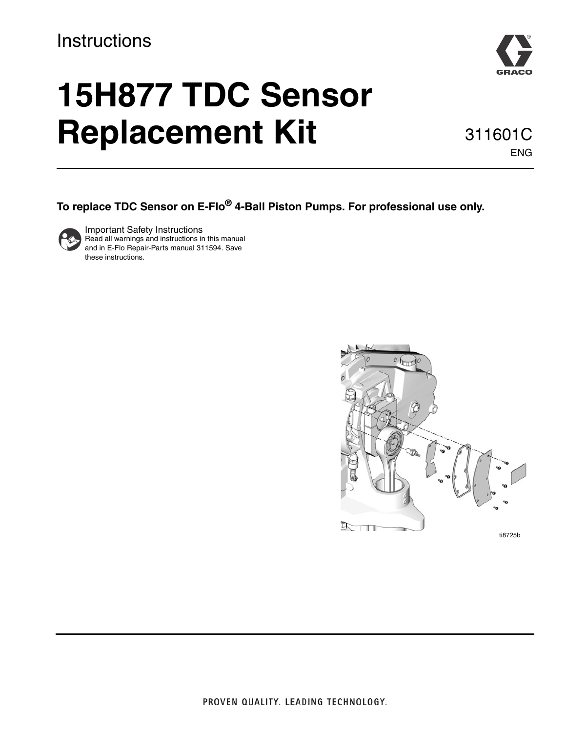### **Instructions**



# **15H877 TDC Sensor Replacement Kit** 311601C

ENG

**To replace TDC Sensor on E-Flo® 4-Ball Piston Pumps. For professional use only.**



Important Safety Instructions Read all warnings and instructions in this manual and in E-Flo Repair-Parts manual 311594. Save these instructions.

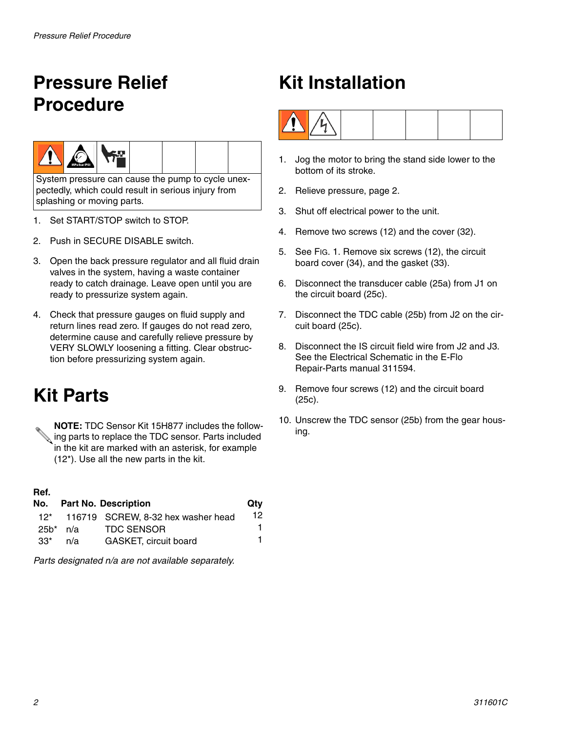# <span id="page-1-0"></span>**Pressure Relief Procedure**



System pressure can cause the pump to cycle unexpectedly, which could result in serious injury from splashing or moving parts.

- 1. Set START/STOP switch to STOP.
- 2. Push in SECURE DISABLE switch.
- 3. Open the back pressure regulator and all fluid drain valves in the system, having a waste container ready to catch drainage. Leave open until you are ready to pressurize system again.
- 4. Check that pressure gauges on fluid supply and return lines read zero. If gauges do not read zero, determine cause and carefully relieve pressure by VERY SLOWLY loosening a fitting. Clear obstruction before pressurizing system again.

### **Kit Parts**

**NOTE:** TDC Sensor Kit 15H877 includes the following parts to replace the TDC sensor. Parts included in the kit are marked with an asterisk, for example (12\*). Use all the new parts in the kit.

### **Ref.**

|       |          | No. Part No. Description               | Qtv |
|-------|----------|----------------------------------------|-----|
|       |          | 12* 116719 SCREW, 8-32 hex washer head | 12. |
|       | 25b* n/a | TDC SENSOR                             | 1.  |
| $33*$ | n/a      | <b>GASKET, circuit board</b>           | 1.  |

*Parts designated n/a are not available separately.*

## **Kit Installation**



- 1. Jog the motor to bring the stand side lower to the bottom of its stroke.
- 2. Relieve pressure, page [2.](#page-1-0)
- 3. Shut off electrical power to the unit.
- 4. Remove two screws (12) and the cover (32).
- 5. See FIG. 1. Remove six screws (12), the circuit board cover (34), and the gasket (33).
- 6. Disconnect the transducer cable (25a) from J1 on the circuit board (25c).
- 7. Disconnect the TDC cable (25b) from J2 on the circuit board (25c).
- 8. Disconnect the IS circuit field wire from J2 and J3. See the Electrical Schematic in the E-Flo Repair-Parts manual 311594.
- 9. Remove four screws (12) and the circuit board (25c).
- 10. Unscrew the TDC sensor (25b) from the gear housing.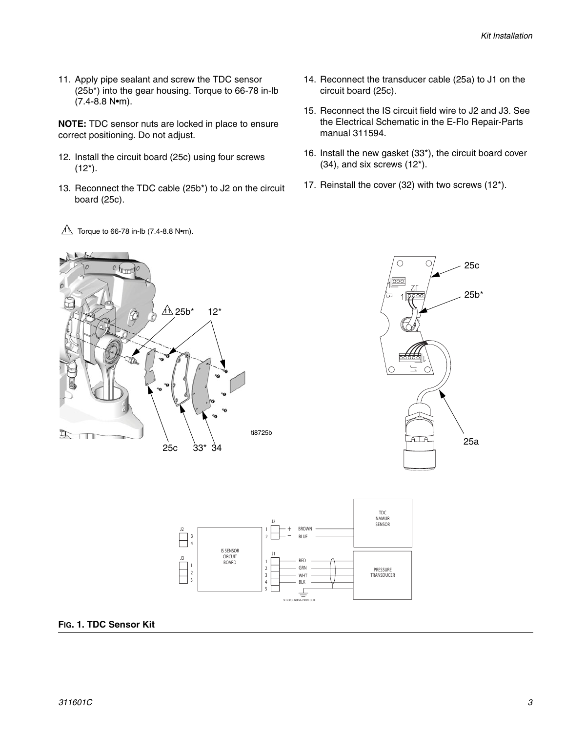11. Apply pipe sealant and screw the TDC sensor (25b\*) into the gear housing. Torque to 66-78 in-lb (7.4-8.8 N•m).

**NOTE:** TDC sensor nuts are locked in place to ensure correct positioning. Do not adjust.

- 12. Install the circuit board (25c) using four screws  $(12^*)$ .
- 13. Reconnect the TDC cable (25b\*) to J2 on the circuit board (25c).
- $1\overrightarrow{1}$  Torque to 66-78 in-lb (7.4-8.8 N•m).
- 14. Reconnect the transducer cable (25a) to J1 on the circuit board (25c).
- 15. Reconnect the IS circuit field wire to J2 and J3. See the Electrical Schematic in the E-Flo Repair-Parts manual 311594.
- 16. Install the new gasket (33\*), the circuit board cover (34), and six screws (12\*).
- 17. Reinstall the cover (32) with two screws (12\*).







### **FIG. 1. TDC Sensor Kit**